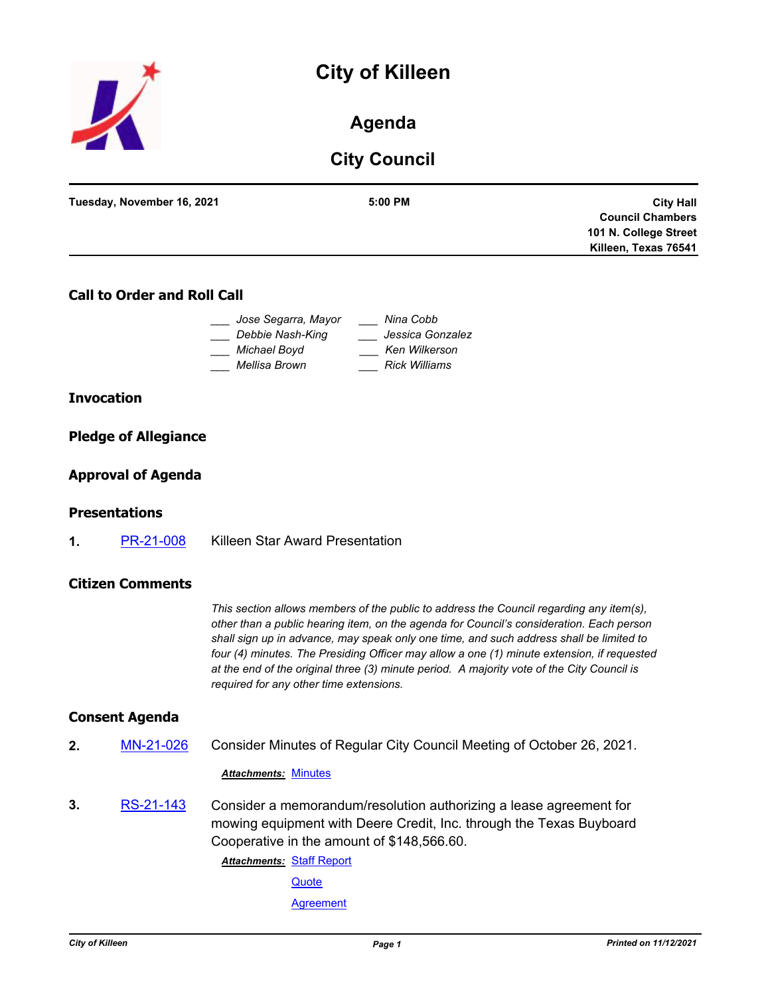# **City of Killeen**



# **Agenda**

# **City Council**

| Tuesday, November 16, 2021 | 5:00 PM | <b>City Hall</b>        |
|----------------------------|---------|-------------------------|
|                            |         | <b>Council Chambers</b> |
|                            |         | 101 N. College Street   |
|                            |         | Killeen, Texas 76541    |
|                            |         |                         |

### **Call to Order and Roll Call**

| Jose Segarra, Mayor | Nina Cobb            |
|---------------------|----------------------|
| Debbie Nash-King    | Jessica Gonzalez     |
| Michael Boyd        | <b>Ken Wilkerson</b> |
| Mellisa Brown       | <b>Rick Williams</b> |

#### **Invocation**

#### **Pledge of Allegiance**

#### **Approval of Agenda**

#### **Presentations**

**1.** [PR-21-008](http://killeen.legistar.com/gateway.aspx?m=l&id=/matter.aspx?key=5776) Killeen Star Award Presentation

#### **Citizen Comments**

*This section allows members of the public to address the Council regarding any item(s), other than a public hearing item, on the agenda for Council's consideration. Each person shall sign up in advance, may speak only one time, and such address shall be limited to four (4) minutes. The Presiding Officer may allow a one (1) minute extension, if requested at the end of the original three (3) minute period. A majority vote of the City Council is required for any other time extensions.*

#### **Consent Agenda**

**2.** [MN-21-026](http://killeen.legistar.com/gateway.aspx?m=l&id=/matter.aspx?key=5772) Consider Minutes of Regular City Council Meeting of October 26, 2021.

#### *Attachments:* [Minutes](http://killeen.legistar.com/gateway.aspx?M=F&ID=e7ac530e-19ec-4e18-b17d-20aabee849cc.pdf)

**3.** [RS-21-143](http://killeen.legistar.com/gateway.aspx?m=l&id=/matter.aspx?key=5746) Consider a memorandum/resolution authorizing a lease agreement for mowing equipment with Deere Credit, Inc. through the Texas Buyboard Cooperative in the amount of \$148,566.60.

> **Attachments: [Staff Report](http://killeen.legistar.com/gateway.aspx?M=F&ID=533a2c4f-ea8e-4d3c-b785-6ad23f8cf22c.pdf) [Quote](http://killeen.legistar.com/gateway.aspx?M=F&ID=604db779-2a05-40e5-adaa-c2676cd44825.pdf) [Agreement](http://killeen.legistar.com/gateway.aspx?M=F&ID=5d340575-d34a-4364-bc63-82771bfaf84f.pdf)**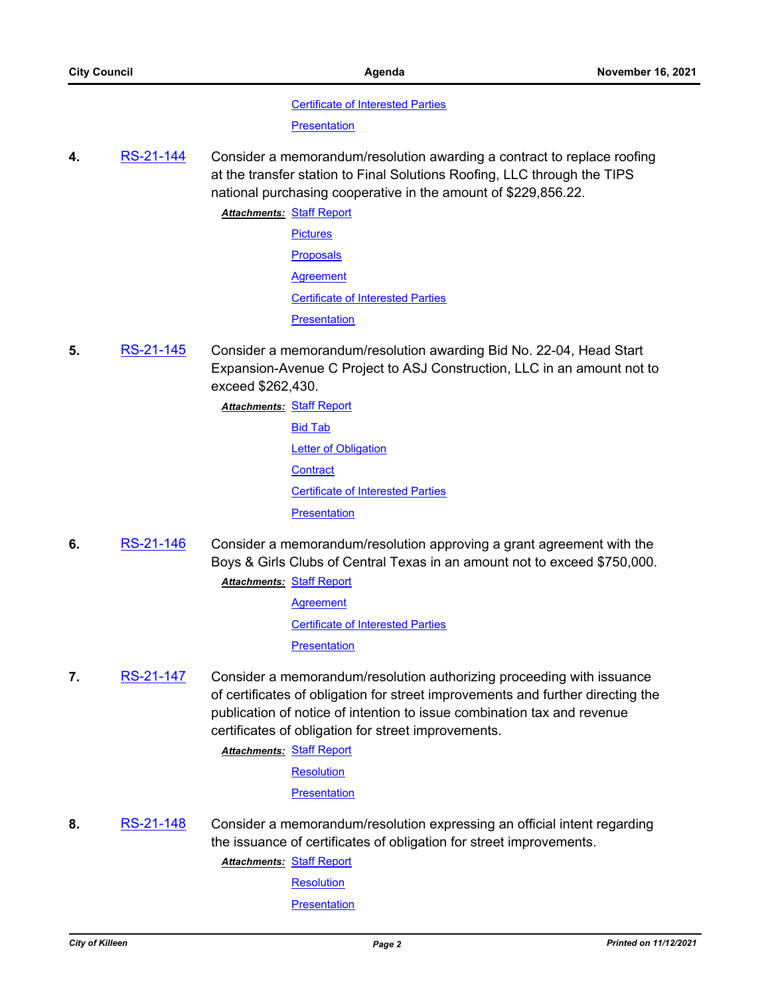[Certificate of Interested Parties](http://killeen.legistar.com/gateway.aspx?M=F&ID=abe4ff1f-bde5-45aa-9c33-29ce410609bd.pdf)

**[Presentation](http://killeen.legistar.com/gateway.aspx?M=F&ID=dc180ccd-7b4d-46a9-aaee-cb481db37fe5.pdf)** 

**4.** [RS-21-144](http://killeen.legistar.com/gateway.aspx?m=l&id=/matter.aspx?key=5748) Consider a memorandum/resolution awarding a contract to replace roofing at the transfer station to Final Solutions Roofing, LLC through the TIPS national purchasing cooperative in the amount of \$229,856.22.

> **Attachments: [Staff Report](http://killeen.legistar.com/gateway.aspx?M=F&ID=ec77acbb-b0e4-4ff4-bdd4-605c28da0e66.pdf) [Pictures](http://killeen.legistar.com/gateway.aspx?M=F&ID=2aebf3f9-dd0e-472f-97e5-4fcf4459d651.pdf) [Proposals](http://killeen.legistar.com/gateway.aspx?M=F&ID=e2c120ed-8450-4661-8c4e-9d7789b49049.pdf) [Agreement](http://killeen.legistar.com/gateway.aspx?M=F&ID=c33db8c4-13e8-463c-8e1a-d785bf0fe12f.pdf)** [Certificate of Interested Parties](http://killeen.legistar.com/gateway.aspx?M=F&ID=124fb66d-8c73-4ecb-add0-3eb4a49164ba.pdf) **[Presentation](http://killeen.legistar.com/gateway.aspx?M=F&ID=a527a508-2754-4db5-919e-3d16db37c452.pdf)**

- **5.** [RS-21-145](http://killeen.legistar.com/gateway.aspx?m=l&id=/matter.aspx?key=5769) Consider a memorandum/resolution awarding Bid No. 22-04, Head Start Expansion-Avenue C Project to ASJ Construction, LLC in an amount not to exceed \$262,430.
	- **Attachments: [Staff Report](http://killeen.legistar.com/gateway.aspx?M=F&ID=c5913a92-52d3-4cab-8f8a-2220eefc6b66.pdf)** [Bid Tab](http://killeen.legistar.com/gateway.aspx?M=F&ID=62441106-1343-4142-97ec-f5a25284d8a1.pdf) **[Letter of Obligation](http://killeen.legistar.com/gateway.aspx?M=F&ID=18cf8fee-47cf-4091-86d1-d1c7ab3d5062.pdf) [Contract](http://killeen.legistar.com/gateway.aspx?M=F&ID=c62d4145-a0ce-4ac8-af89-1b521b7701d5.pdf)** [Certificate of Interested Parties](http://killeen.legistar.com/gateway.aspx?M=F&ID=b09c370b-ae04-4faa-a629-bcd27a2a09a1.pdf) **[Presentation](http://killeen.legistar.com/gateway.aspx?M=F&ID=6b1dfd8c-d09c-46fb-8423-73fd57178907.pdf)**
- **6.** [RS-21-146](http://killeen.legistar.com/gateway.aspx?m=l&id=/matter.aspx?key=5766) Consider a memorandum/resolution approving a grant agreement with the Boys & Girls Clubs of Central Texas in an amount not to exceed \$750,000.

**Attachments: [Staff Report](http://killeen.legistar.com/gateway.aspx?M=F&ID=287b5b1b-d26e-45e1-a614-6ea6deb833b0.pdf) [Agreement](http://killeen.legistar.com/gateway.aspx?M=F&ID=15279a25-180d-4ce3-8b78-4e9eb6e5175a.pdf)** [Certificate of Interested Parties](http://killeen.legistar.com/gateway.aspx?M=F&ID=58e3d0c7-97d9-4819-a718-360461bf241a.pdf) **[Presentation](http://killeen.legistar.com/gateway.aspx?M=F&ID=31d31db8-79a5-4e35-bf5c-b155bc2b3865.pdf)** 

**7.** [RS-21-147](http://killeen.legistar.com/gateway.aspx?m=l&id=/matter.aspx?key=5767) Consider a memorandum/resolution authorizing proceeding with issuance of certificates of obligation for street improvements and further directing the publication of notice of intention to issue combination tax and revenue certificates of obligation for street improvements.

**Attachments: [Staff Report](http://killeen.legistar.com/gateway.aspx?M=F&ID=27cd07c5-2c3a-46d8-9194-796f53516b19.pdf)** 

**[Resolution](http://killeen.legistar.com/gateway.aspx?M=F&ID=d40e25d1-ea69-4bd3-8e89-5ebbca10f025.pdf)** 

**[Presentation](http://killeen.legistar.com/gateway.aspx?M=F&ID=3f4a9a18-2e93-49bb-8363-5a331b327a97.pdf)** 

**8.** [RS-21-148](http://killeen.legistar.com/gateway.aspx?m=l&id=/matter.aspx?key=5768) Consider a memorandum/resolution expressing an official intent regarding the issuance of certificates of obligation for street improvements.

**Attachments: [Staff Report](http://killeen.legistar.com/gateway.aspx?M=F&ID=2e567e23-6fd8-4a42-9754-d5533fe63092.pdf)** 

**[Resolution](http://killeen.legistar.com/gateway.aspx?M=F&ID=ed003634-4715-4414-8592-28a011a45e13.pdf)** 

**[Presentation](http://killeen.legistar.com/gateway.aspx?M=F&ID=cae924a9-511c-4e23-835f-a162577d5b08.pdf)**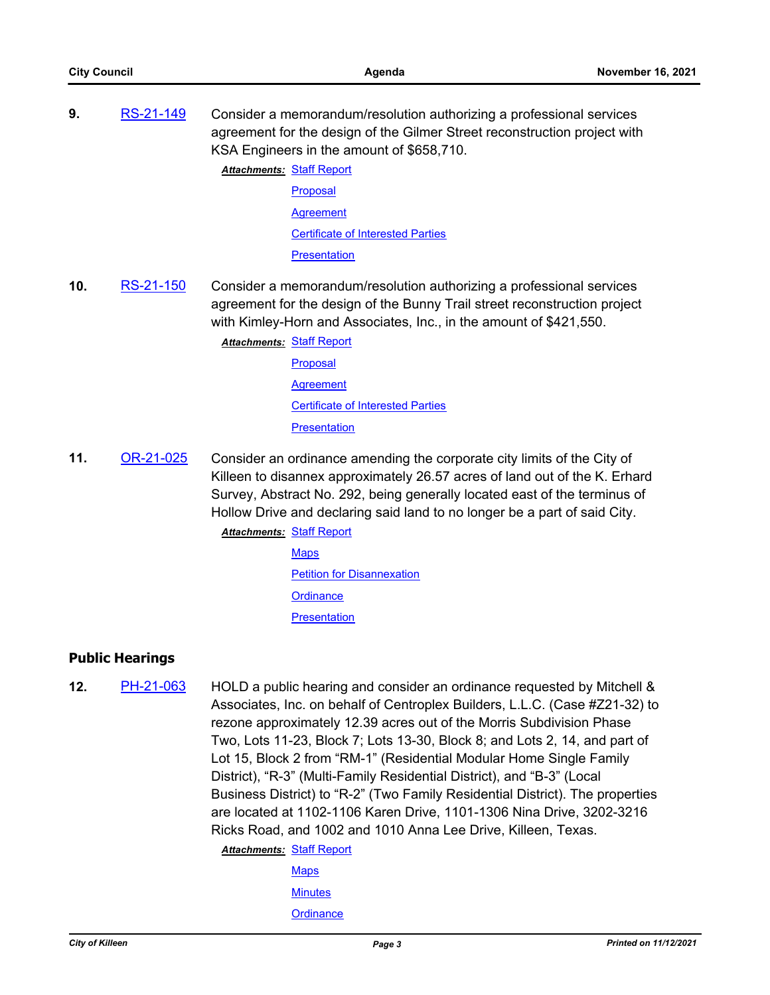**9.** [RS-21-149](http://killeen.legistar.com/gateway.aspx?m=l&id=/matter.aspx?key=5782) Consider a memorandum/resolution authorizing a professional services agreement for the design of the Gilmer Street reconstruction project with KSA Engineers in the amount of \$658,710.

> **Attachments: [Staff Report](http://killeen.legistar.com/gateway.aspx?M=F&ID=eb8b5f11-60ca-4dc0-be39-a280bdd5f6ce.pdf)** [Proposal](http://killeen.legistar.com/gateway.aspx?M=F&ID=c369a542-204b-4d48-a3ba-d195d4e08763.pdf) **[Agreement](http://killeen.legistar.com/gateway.aspx?M=F&ID=ef94cd22-9d6f-4f9c-936c-4ec9875a5492.pdf)** [Certificate of Interested Parties](http://killeen.legistar.com/gateway.aspx?M=F&ID=b60d09c2-aba3-4f67-8569-49bb8233daad.pdf) **[Presentation](http://killeen.legistar.com/gateway.aspx?M=F&ID=81289d62-db23-4b13-9821-ac9f8a6ae78e.pdf)**

**10.** [RS-21-150](http://killeen.legistar.com/gateway.aspx?m=l&id=/matter.aspx?key=5781) Consider a memorandum/resolution authorizing a professional services agreement for the design of the Bunny Trail street reconstruction project with Kimley-Horn and Associates, Inc., in the amount of \$421,550.

> [Staff Report](http://killeen.legistar.com/gateway.aspx?M=F&ID=ff364db4-017b-453c-8f56-80238891eea1.pdf) *Attachments:* **[Proposal](http://killeen.legistar.com/gateway.aspx?M=F&ID=14b7c297-1777-4b57-bb95-841d2ce68357.pdf) [Agreement](http://killeen.legistar.com/gateway.aspx?M=F&ID=83f4e9a6-7f59-48d4-bd51-7f9e023a6a1a.pdf)** [Certificate of Interested Parties](http://killeen.legistar.com/gateway.aspx?M=F&ID=faeeda11-a024-4528-82d3-15e866c164f8.pdf) **[Presentation](http://killeen.legistar.com/gateway.aspx?M=F&ID=c266897d-d948-40ba-9935-c6d3d670ca11.pdf)**

**11.** [OR-21-025](http://killeen.legistar.com/gateway.aspx?m=l&id=/matter.aspx?key=5644) Consider an ordinance amending the corporate city limits of the City of Killeen to disannex approximately 26.57 acres of land out of the K. Erhard Survey, Abstract No. 292, being generally located east of the terminus of Hollow Drive and declaring said land to no longer be a part of said City.

> **Attachments: [Staff Report](http://killeen.legistar.com/gateway.aspx?M=F&ID=354ee971-8aac-45f4-aaa6-ee6e740e86cb.pdf) [Maps](http://killeen.legistar.com/gateway.aspx?M=F&ID=abb0fe36-63e3-40a4-85bf-39ce05e8d2b3.pdf)** [Petition for Disannexation](http://killeen.legistar.com/gateway.aspx?M=F&ID=211e11ab-714b-4074-bbe4-7d43fd4ce90b.pdf) **[Ordinance](http://killeen.legistar.com/gateway.aspx?M=F&ID=7ed71fe6-6cd7-46c9-aa17-42278a04c0ce.pdf) [Presentation](http://killeen.legistar.com/gateway.aspx?M=F&ID=28b88ef9-4348-4c02-a8e2-c14cfba4bba8.pdf)**

### **Public Hearings**

**12.** [PH-21-063](http://killeen.legistar.com/gateway.aspx?m=l&id=/matter.aspx?key=5725) HOLD a public hearing and consider an ordinance requested by Mitchell & Associates, Inc. on behalf of Centroplex Builders, L.L.C. (Case #Z21-32) to rezone approximately 12.39 acres out of the Morris Subdivision Phase Two, Lots 11-23, Block 7; Lots 13-30, Block 8; and Lots 2, 14, and part of Lot 15, Block 2 from "RM-1" (Residential Modular Home Single Family District), "R-3" (Multi-Family Residential District), and "B-3" (Local Business District) to "R-2" (Two Family Residential District). The properties are located at 1102-1106 Karen Drive, 1101-1306 Nina Drive, 3202-3216 Ricks Road, and 1002 and 1010 Anna Lee Drive, Killeen, Texas.

> **Attachments: [Staff Report](http://killeen.legistar.com/gateway.aspx?M=F&ID=b76e2b4c-3905-4f68-9e57-4037cbc32545.pdf) [Maps](http://killeen.legistar.com/gateway.aspx?M=F&ID=c88872db-7a0a-4383-bb06-3ac2c1f1f469.pdf) [Minutes](http://killeen.legistar.com/gateway.aspx?M=F&ID=b26fb4b4-c453-4093-8079-e35b3836464b.pdf) [Ordinance](http://killeen.legistar.com/gateway.aspx?M=F&ID=4ad6bcdf-3cdc-4010-a3bb-6976471dc389.pdf)**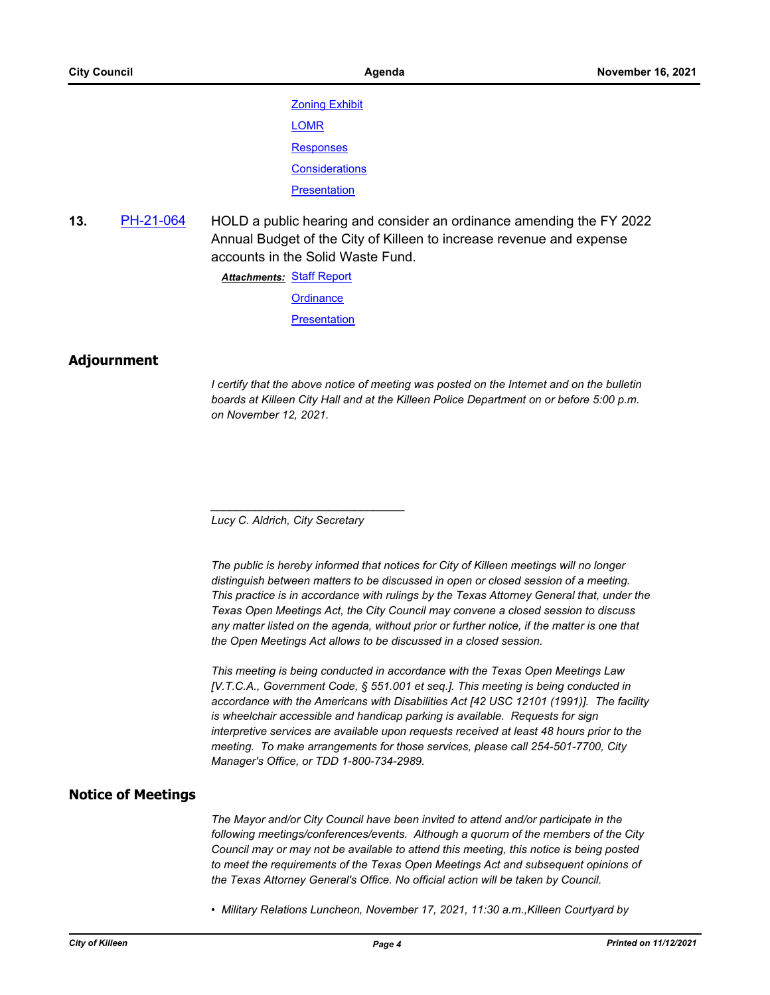[Zoning Exhibit](http://killeen.legistar.com/gateway.aspx?M=F&ID=33e89d26-27c7-4f74-b490-ee5f273dc51d.pdf) [LOMR](http://killeen.legistar.com/gateway.aspx?M=F&ID=2ac48f00-0e4d-47d2-abf4-e23bfbbd0c7b.pdf) **[Responses](http://killeen.legistar.com/gateway.aspx?M=F&ID=7497398d-7eaa-400d-aa7f-ba93cc1f9a14.pdf) [Considerations](http://killeen.legistar.com/gateway.aspx?M=F&ID=0239712c-1ecf-4929-9749-c98c4f88fd0d.pdf) [Presentation](http://killeen.legistar.com/gateway.aspx?M=F&ID=78941018-29b6-46ed-9746-7bdbd1bc6963.pdf)** 

**13.** [PH-21-064](http://killeen.legistar.com/gateway.aspx?m=l&id=/matter.aspx?key=5765) HOLD a public hearing and consider an ordinance amending the FY 2022 Annual Budget of the City of Killeen to increase revenue and expense accounts in the Solid Waste Fund.

> [Staff Report](http://killeen.legistar.com/gateway.aspx?M=F&ID=cb38fb57-d6a9-485e-8b3c-80e611ccb233.pdf) *Attachments:* **[Ordinance](http://killeen.legistar.com/gateway.aspx?M=F&ID=0232d053-7a7a-49cc-8ed2-4b53ced84f68.pdf)**

> > **[Presentation](http://killeen.legistar.com/gateway.aspx?M=F&ID=09fb7337-26c2-4bca-a879-f14205fa235c.pdf)**

#### **Adjournment**

*I* certify that the above notice of meeting was posted on the Internet and on the bulletin *boards at Killeen City Hall and at the Killeen Police Department on or before 5:00 p.m. on November 12, 2021.*

*Lucy C. Aldrich, City Secretary* 

*\_\_\_\_\_\_\_\_\_\_\_\_\_\_\_\_\_\_\_\_\_\_\_\_\_\_\_\_\_\_\_*

*The public is hereby informed that notices for City of Killeen meetings will no longer distinguish between matters to be discussed in open or closed session of a meeting. This practice is in accordance with rulings by the Texas Attorney General that, under the Texas Open Meetings Act, the City Council may convene a closed session to discuss any matter listed on the agenda, without prior or further notice, if the matter is one that the Open Meetings Act allows to be discussed in a closed session.*

*This meeting is being conducted in accordance with the Texas Open Meetings Law [V.T.C.A., Government Code, § 551.001 et seq.]. This meeting is being conducted in accordance with the Americans with Disabilities Act [42 USC 12101 (1991)]. The facility is wheelchair accessible and handicap parking is available. Requests for sign interpretive services are available upon requests received at least 48 hours prior to the meeting. To make arrangements for those services, please call 254-501-7700, City Manager's Office, or TDD 1-800-734-2989.*

#### **Notice of Meetings**

*The Mayor and/or City Council have been invited to attend and/or participate in the following meetings/conferences/events. Although a quorum of the members of the City Council may or may not be available to attend this meeting, this notice is being posted*  to meet the requirements of the Texas Open Meetings Act and subsequent opinions of *the Texas Attorney General's Office. No official action will be taken by Council.*

*• Military Relations Luncheon, November 17, 2021, 11:30 a.m.,Killeen Courtyard by*